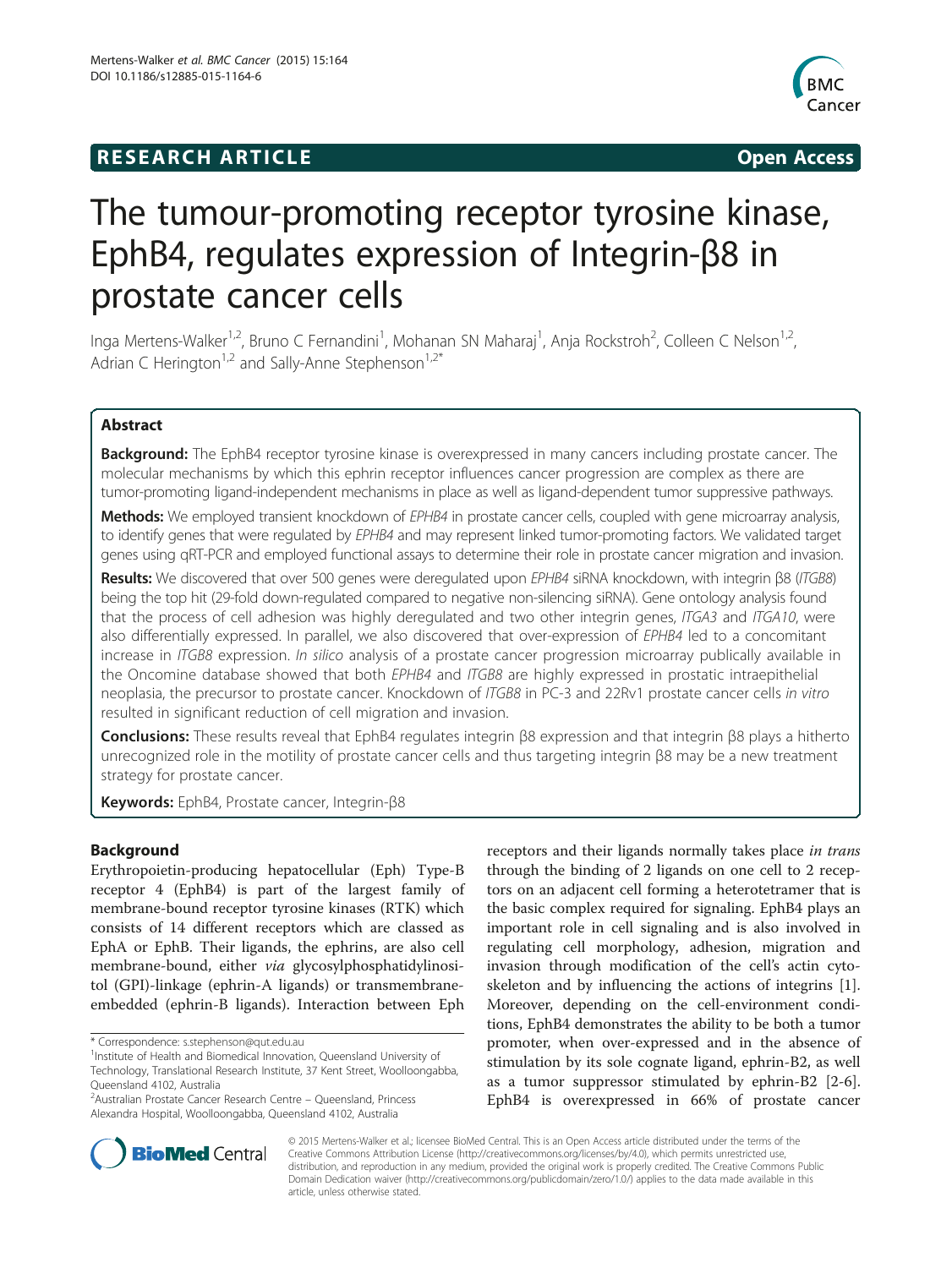# **RESEARCH ARTICLE Example 2014 CONSIDERING CONSIDERING CONSIDERING CONSIDERING CONSIDERING CONSIDERING CONSIDERING CONSIDERING CONSIDERING CONSIDERING CONSIDERING CONSIDERING CONSIDERING CONSIDERING CONSIDERING CONSIDE**



# The tumour-promoting receptor tyrosine kinase, EphB4, regulates expression of Integrin-β8 in prostate cancer cells

Inga Mertens-Walker<sup>1,2</sup>, Bruno C Fernandini<sup>1</sup>, Mohanan SN Maharaj<sup>1</sup>, Anja Rockstroh<sup>2</sup>, Colleen C Nelson<sup>1,2</sup>, Adrian C Herington<sup>1,2</sup> and Sally-Anne Stephenson<sup>1,2\*</sup>

# Abstract

Background: The EphB4 receptor tyrosine kinase is overexpressed in many cancers including prostate cancer. The molecular mechanisms by which this ephrin receptor influences cancer progression are complex as there are tumor-promoting ligand-independent mechanisms in place as well as ligand-dependent tumor suppressive pathways.

Methods: We employed transient knockdown of EPHB4 in prostate cancer cells, coupled with gene microarray analysis, to identify genes that were regulated by EPHB4 and may represent linked tumor-promoting factors. We validated target genes using qRT-PCR and employed functional assays to determine their role in prostate cancer migration and invasion.

Results: We discovered that over 500 genes were deregulated upon EPHB4 siRNA knockdown, with integrin β8 (ITGB8) being the top hit (29-fold down-regulated compared to negative non-silencing siRNA). Gene ontology analysis found that the process of cell adhesion was highly deregulated and two other integrin genes, ITGA3 and ITGA10, were also differentially expressed. In parallel, we also discovered that over-expression of EPHB4 led to a concomitant increase in ITGB8 expression. In silico analysis of a prostate cancer progression microarray publically available in the Oncomine database showed that both EPHB4 and ITGB8 are highly expressed in prostatic intraepithelial neoplasia, the precursor to prostate cancer. Knockdown of ITGB8 in PC-3 and 22Rv1 prostate cancer cells in vitro resulted in significant reduction of cell migration and invasion.

Conclusions: These results reveal that EphB4 regulates integrin β8 expression and that integrin β8 plays a hitherto unrecognized role in the motility of prostate cancer cells and thus targeting integrin β8 may be a new treatment strategy for prostate cancer.

Keywords: EphB4, Prostate cancer, Integrin-β8

# Background

Erythropoietin-producing hepatocellular (Eph) Type-B receptor 4 (EphB4) is part of the largest family of membrane-bound receptor tyrosine kinases (RTK) which consists of 14 different receptors which are classed as EphA or EphB. Their ligands, the ephrins, are also cell membrane-bound, either via glycosylphosphatidylinositol (GPI)-linkage (ephrin-A ligands) or transmembraneembedded (ephrin-B ligands). Interaction between Eph

receptors and their ligands normally takes place in trans through the binding of 2 ligands on one cell to 2 receptors on an adjacent cell forming a heterotetramer that is the basic complex required for signaling. EphB4 plays an important role in cell signaling and is also involved in regulating cell morphology, adhesion, migration and invasion through modification of the cell's actin cytoskeleton and by influencing the actions of integrins [\[1](#page-8-0)]. Moreover, depending on the cell-environment conditions, EphB4 demonstrates the ability to be both a tumor promoter, when over-expressed and in the absence of stimulation by its sole cognate ligand, ephrin-B2, as well as a tumor suppressor stimulated by ephrin-B2 [[2-6](#page-8-0)]. EphB4 is overexpressed in 66% of prostate cancer



© 2015 Mertens-Walker et al.; licensee BioMed Central. This is an Open Access article distributed under the terms of the Creative Commons Attribution License (<http://creativecommons.org/licenses/by/4.0>), which permits unrestricted use, distribution, and reproduction in any medium, provided the original work is properly credited. The Creative Commons Public Domain Dedication waiver [\(http://creativecommons.org/publicdomain/zero/1.0/\)](http://creativecommons.org/publicdomain/zero/1.0/) applies to the data made available in this article, unless otherwise stated.

<sup>\*</sup> Correspondence: [s.stephenson@qut.edu.au](mailto:s.stephenson@qut.edu.au) <sup>1</sup>

<sup>&</sup>lt;sup>1</sup> Institute of Health and Biomedical Innovation, Queensland University of Technology, Translational Research Institute, 37 Kent Street, Woolloongabba, Queensland 4102, Australia

<sup>&</sup>lt;sup>2</sup> Australian Prostate Cancer Research Centre – Queensland, Princess Alexandra Hospital, Woolloongabba, Queensland 4102, Australia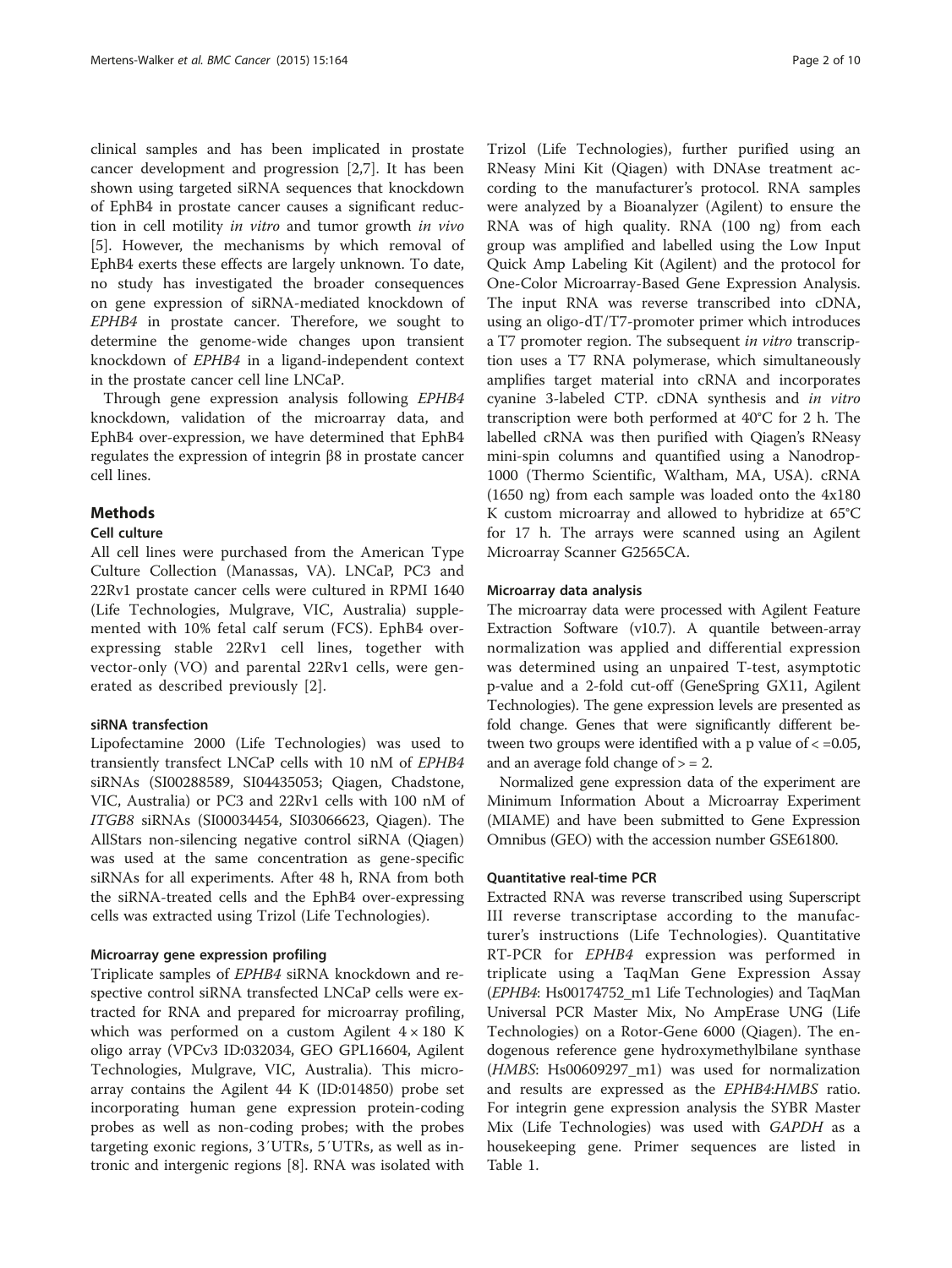clinical samples and has been implicated in prostate cancer development and progression [\[2,7](#page-8-0)]. It has been shown using targeted siRNA sequences that knockdown of EphB4 in prostate cancer causes a significant reduction in cell motility in vitro and tumor growth in vivo [[5\]](#page-8-0). However, the mechanisms by which removal of EphB4 exerts these effects are largely unknown. To date, no study has investigated the broader consequences on gene expression of siRNA-mediated knockdown of EPHB4 in prostate cancer. Therefore, we sought to determine the genome-wide changes upon transient knockdown of EPHB4 in a ligand-independent context in the prostate cancer cell line LNCaP.

Through gene expression analysis following EPHB4 knockdown, validation of the microarray data, and EphB4 over-expression, we have determined that EphB4 regulates the expression of integrin β8 in prostate cancer cell lines.

# **Methods**

#### Cell culture

All cell lines were purchased from the American Type Culture Collection (Manassas, VA). LNCaP, PC3 and 22Rv1 prostate cancer cells were cultured in RPMI 1640 (Life Technologies, Mulgrave, VIC, Australia) supplemented with 10% fetal calf serum (FCS). EphB4 overexpressing stable 22Rv1 cell lines, together with vector-only (VO) and parental 22Rv1 cells, were generated as described previously [[2\]](#page-8-0).

### siRNA transfection

Lipofectamine 2000 (Life Technologies) was used to transiently transfect LNCaP cells with 10 nM of EPHB4 siRNAs (SI00288589, SI04435053; Qiagen, Chadstone, VIC, Australia) or PC3 and 22Rv1 cells with 100 nM of ITGB8 siRNAs (SI00034454, SI03066623, Qiagen). The AllStars non-silencing negative control siRNA (Qiagen) was used at the same concentration as gene-specific siRNAs for all experiments. After 48 h, RNA from both the siRNA-treated cells and the EphB4 over-expressing cells was extracted using Trizol (Life Technologies).

# Microarray gene expression profiling

Triplicate samples of EPHB4 siRNA knockdown and respective control siRNA transfected LNCaP cells were extracted for RNA and prepared for microarray profiling, which was performed on a custom Agilent  $4 \times 180$  K oligo array (VPCv3 ID:032034, GEO GPL16604, Agilent Technologies, Mulgrave, VIC, Australia). This microarray contains the Agilent 44 K (ID:014850) probe set incorporating human gene expression protein-coding probes as well as non-coding probes; with the probes targeting exonic regions, 3′UTRs, 5′UTRs, as well as intronic and intergenic regions [[8\]](#page-8-0). RNA was isolated with

Trizol (Life Technologies), further purified using an RNeasy Mini Kit (Qiagen) with DNAse treatment according to the manufacturer's protocol. RNA samples were analyzed by a Bioanalyzer (Agilent) to ensure the RNA was of high quality. RNA (100 ng) from each group was amplified and labelled using the Low Input Quick Amp Labeling Kit (Agilent) and the protocol for One-Color Microarray-Based Gene Expression Analysis. The input RNA was reverse transcribed into cDNA, using an oligo-dT/T7-promoter primer which introduces a T7 promoter region. The subsequent in vitro transcription uses a T7 RNA polymerase, which simultaneously amplifies target material into cRNA and incorporates cyanine 3-labeled CTP. cDNA synthesis and in vitro transcription were both performed at 40°C for 2 h. The labelled cRNA was then purified with Qiagen's RNeasy mini-spin columns and quantified using a Nanodrop-1000 (Thermo Scientific, Waltham, MA, USA). cRNA (1650 ng) from each sample was loaded onto the 4x180 K custom microarray and allowed to hybridize at 65°C for 17 h. The arrays were scanned using an Agilent Microarray Scanner G2565CA.

#### Microarray data analysis

The microarray data were processed with Agilent Feature Extraction Software (v10.7). A quantile between-array normalization was applied and differential expression was determined using an unpaired T-test, asymptotic p-value and a 2-fold cut-off (GeneSpring GX11, Agilent Technologies). The gene expression levels are presented as fold change. Genes that were significantly different between two groups were identified with a p value of  $<-0.05$ , and an average fold change of  $> = 2$ .

Normalized gene expression data of the experiment are Minimum Information About a Microarray Experiment (MIAME) and have been submitted to Gene Expression Omnibus (GEO) with the accession number GSE61800.

# Quantitative real-time PCR

Extracted RNA was reverse transcribed using Superscript III reverse transcriptase according to the manufacturer's instructions (Life Technologies). Quantitative RT-PCR for EPHB4 expression was performed in triplicate using a TaqMan Gene Expression Assay (EPHB4: Hs00174752\_m1 Life Technologies) and TaqMan Universal PCR Master Mix, No AmpErase UNG (Life Technologies) on a Rotor-Gene 6000 (Qiagen). The endogenous reference gene hydroxymethylbilane synthase (HMBS: Hs00609297\_m1) was used for normalization and results are expressed as the EPHB4:HMBS ratio. For integrin gene expression analysis the SYBR Master Mix (Life Technologies) was used with GAPDH as a housekeeping gene. Primer sequences are listed in Table [1](#page-2-0).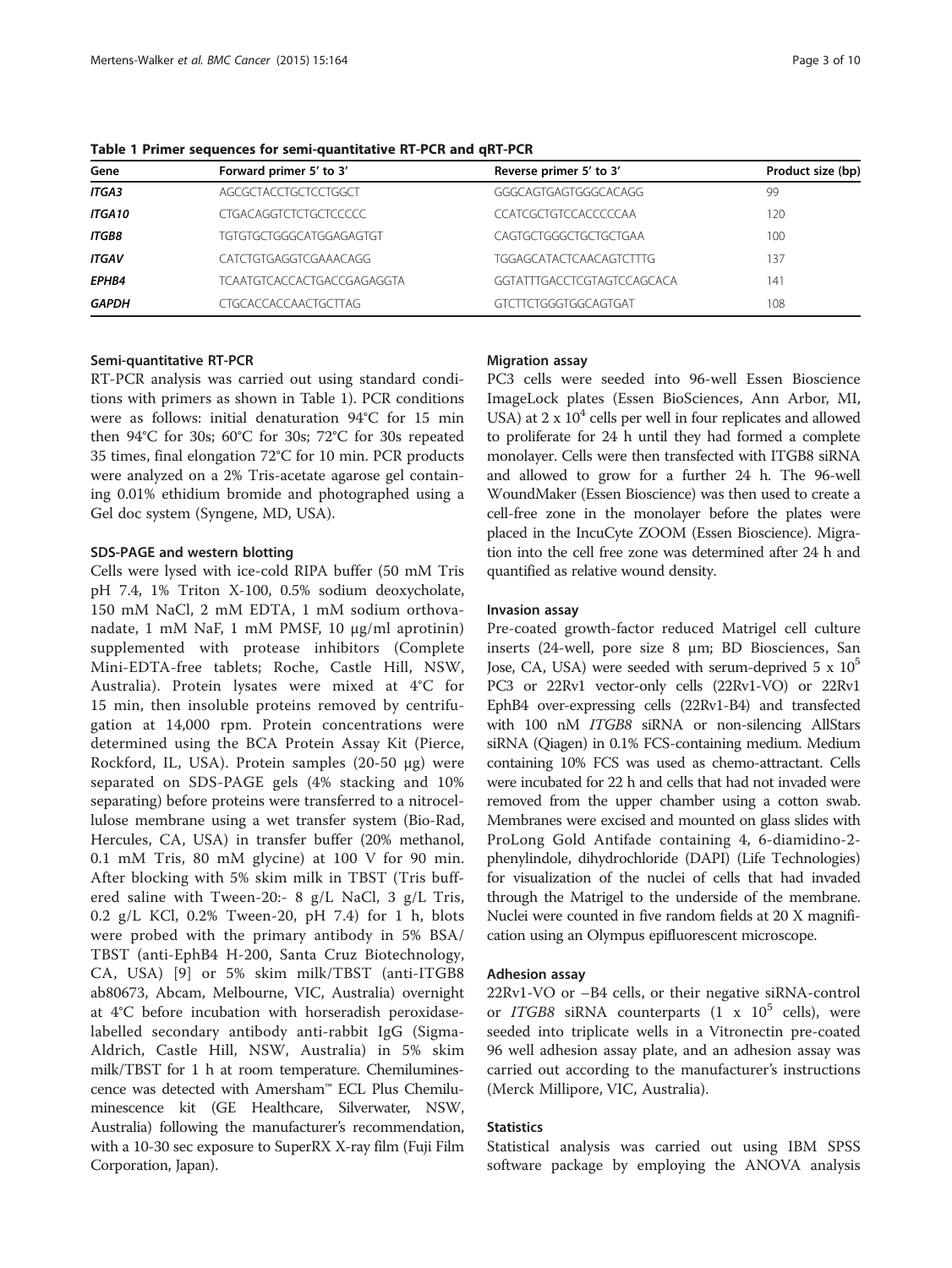| Gene          | Forward primer 5' to 3'           | Reverse primer 5' to 3'        | Product size (bp) |
|---------------|-----------------------------------|--------------------------------|-------------------|
| <b>ITGA3</b>  | AGCGCTACCTGCTCCTGGCT              | GGGCAGTGAGTGGGCACAGG           | 99                |
| <b>ITGA10</b> | <b>CTGACAGGTCTCTGCTCCCCC</b>      | CCATCGCTGTCCACCCCCAA           | 120               |
| <b>ITGB8</b>  | TGTGTGCTGGGCATGGAGAGTGT           | CAGTGCTGGGCTGCTGCTGAA          | 100               |
| <b>ITGAV</b>  | CATCTGTGAGGTCGAAACAGG             | <b>TGGAGCATACTCAACAGTCTTTG</b> | 137               |
| <b>EPHB4</b>  | <b>TCAATGTCACCACTGACCGAGAGGTA</b> | GGTATTTGACCTCGTAGTCCAGCACA     | 141               |
| <b>GAPDH</b>  | <b>CTGCACCACCAACTGCTTAG</b>       | GTCTTCTGGGTGGCAGTGAT           | 108               |

<span id="page-2-0"></span>Table 1 Primer sequences for semi-quantitative RT-PCR and qRT-PCR

#### Semi-quantitative RT-PCR

RT-PCR analysis was carried out using standard conditions with primers as shown in Table 1). PCR conditions were as follows: initial denaturation 94°C for 15 min then 94°C for 30s; 60°C for 30s; 72°C for 30s repeated 35 times, final elongation 72°C for 10 min. PCR products were analyzed on a 2% Tris-acetate agarose gel containing 0.01% ethidium bromide and photographed using a Gel doc system (Syngene, MD, USA).

#### SDS-PAGE and western blotting

Cells were lysed with ice-cold RIPA buffer (50 mM Tris pH 7.4, 1% Triton X-100, 0.5% sodium deoxycholate, 150 mM NaCl, 2 mM EDTA, 1 mM sodium orthovanadate, 1 mM NaF, 1 mM PMSF, 10 μg/ml aprotinin) supplemented with protease inhibitors (Complete Mini-EDTA-free tablets; Roche, Castle Hill, NSW, Australia). Protein lysates were mixed at 4°C for 15 min, then insoluble proteins removed by centrifugation at 14,000 rpm. Protein concentrations were determined using the BCA Protein Assay Kit (Pierce, Rockford, IL, USA). Protein samples (20-50 μg) were separated on SDS-PAGE gels (4% stacking and 10% separating) before proteins were transferred to a nitrocellulose membrane using a wet transfer system (Bio-Rad, Hercules, CA, USA) in transfer buffer (20% methanol, 0.1 mM Tris, 80 mM glycine) at 100 V for 90 min. After blocking with 5% skim milk in TBST (Tris buffered saline with Tween-20:- 8 g/L NaCl, 3 g/L Tris, 0.2 g/L KCl, 0.2% Tween-20, pH 7.4) for 1 h, blots were probed with the primary antibody in 5% BSA/ TBST (anti-EphB4 H-200, Santa Cruz Biotechnology, CA, USA) [[9\]](#page-8-0) or 5% skim milk/TBST (anti-ITGB8 ab80673, Abcam, Melbourne, VIC, Australia) overnight at 4°C before incubation with horseradish peroxidaselabelled secondary antibody anti-rabbit IgG (Sigma-Aldrich, Castle Hill, NSW, Australia) in 5% skim milk/TBST for 1 h at room temperature. Chemiluminescence was detected with Amersham™ ECL Plus Chemiluminescence kit (GE Healthcare, Silverwater, NSW, Australia) following the manufacturer's recommendation, with a 10-30 sec exposure to SuperRX X-ray film (Fuji Film Corporation, Japan).

### Migration assay

PC3 cells were seeded into 96-well Essen Bioscience ImageLock plates (Essen BioSciences, Ann Arbor, MI, USA) at  $2 \times 10^4$  cells per well in four replicates and allowed to proliferate for 24 h until they had formed a complete monolayer. Cells were then transfected with ITGB8 siRNA and allowed to grow for a further 24 h. The 96-well WoundMaker (Essen Bioscience) was then used to create a cell-free zone in the monolayer before the plates were placed in the IncuCyte ZOOM (Essen Bioscience). Migration into the cell free zone was determined after 24 h and quantified as relative wound density.

#### Invasion assay

Pre-coated growth-factor reduced Matrigel cell culture inserts (24-well, pore size 8 μm; BD Biosciences, San Jose, CA, USA) were seeded with serum-deprived  $5 \times 10^5$ PC3 or 22Rv1 vector-only cells (22Rv1-VO) or 22Rv1 EphB4 over-expressing cells (22Rv1-B4) and transfected with 100 nM ITGB8 siRNA or non-silencing AllStars siRNA (Qiagen) in 0.1% FCS-containing medium. Medium containing 10% FCS was used as chemo-attractant. Cells were incubated for 22 h and cells that had not invaded were removed from the upper chamber using a cotton swab. Membranes were excised and mounted on glass slides with ProLong Gold Antifade containing 4, 6-diamidino-2 phenylindole, dihydrochloride (DAPI) (Life Technologies) for visualization of the nuclei of cells that had invaded through the Matrigel to the underside of the membrane. Nuclei were counted in five random fields at 20 X magnification using an Olympus epifluorescent microscope.

#### Adhesion assay

22Rv1-VO or –B4 cells, or their negative siRNA-control or ITGB8 siRNA counterparts  $(1 \times 10^5 \text{ cells})$ , were seeded into triplicate wells in a Vitronectin pre-coated 96 well adhesion assay plate, and an adhesion assay was carried out according to the manufacturer's instructions (Merck Millipore, VIC, Australia).

# **Statistics**

Statistical analysis was carried out using IBM SPSS software package by employing the ANOVA analysis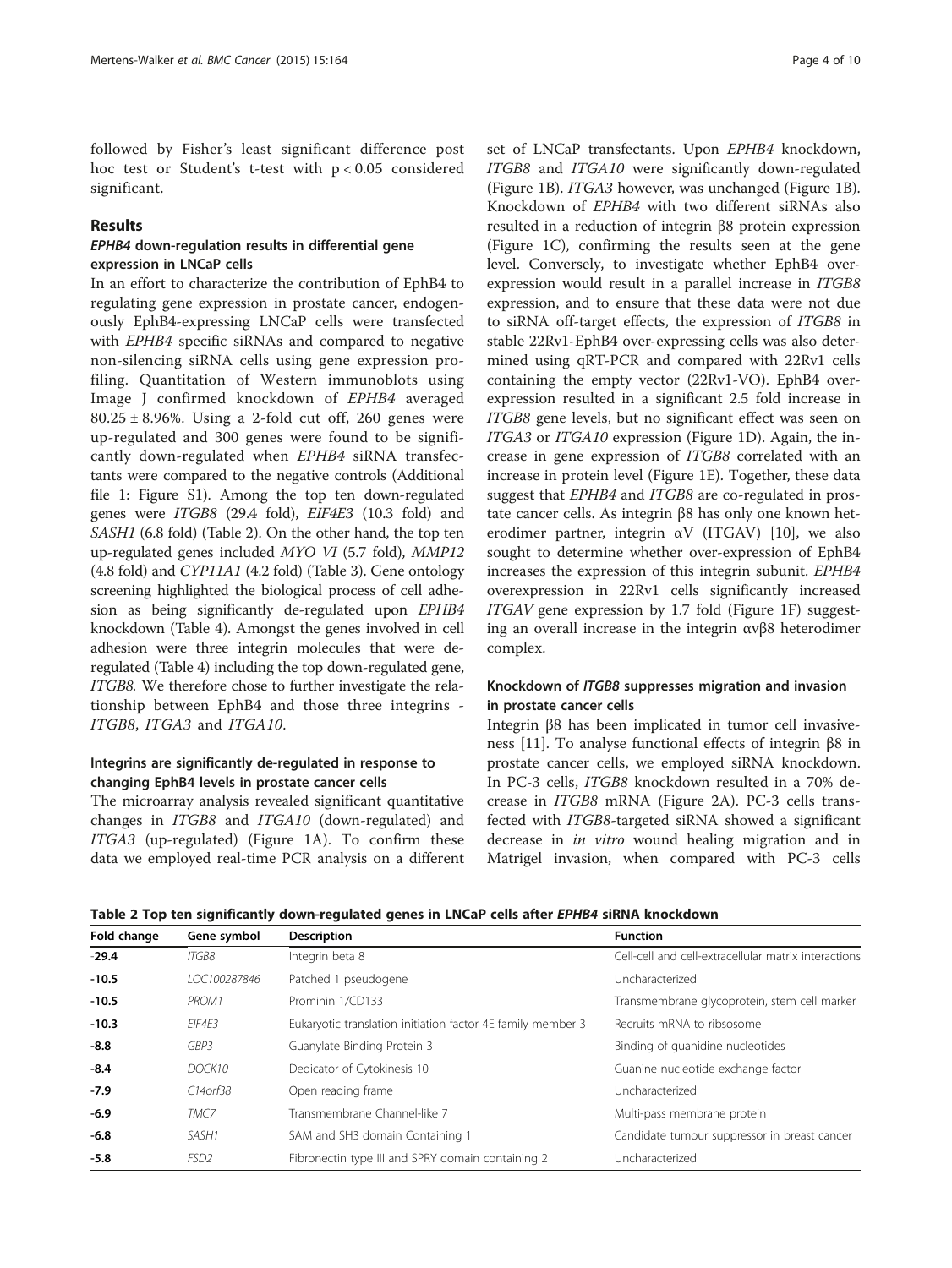followed by Fisher's least significant difference post hoc test or Student's t-test with p < 0.05 considered significant.

# Results

# EPHB4 down-regulation results in differential gene expression in LNCaP cells

In an effort to characterize the contribution of EphB4 to regulating gene expression in prostate cancer, endogenously EphB4-expressing LNCaP cells were transfected with EPHB4 specific siRNAs and compared to negative non-silencing siRNA cells using gene expression profiling. Quantitation of Western immunoblots using Image J confirmed knockdown of EPHB4 averaged  $80.25 \pm 8.96\%$ . Using a 2-fold cut off, 260 genes were up-regulated and 300 genes were found to be significantly down-regulated when EPHB4 siRNA transfectants were compared to the negative controls (Additional file [1](#page-8-0): Figure S1). Among the top ten down-regulated genes were ITGB8 (29.4 fold), EIF4E3 (10.3 fold) and SASH1 (6.8 fold) (Table 2). On the other hand, the top ten up-regulated genes included MYO VI (5.7 fold), MMP12 (4.8 fold) and CYP11A1 (4.2 fold) (Table [3](#page-4-0)). Gene ontology screening highlighted the biological process of cell adhesion as being significantly de-regulated upon EPHB4 knockdown (Table [4](#page-4-0)). Amongst the genes involved in cell adhesion were three integrin molecules that were deregulated (Table [4](#page-4-0)) including the top down-regulated gene, ITGB8. We therefore chose to further investigate the relationship between EphB4 and those three integrins - ITGB8, ITGA3 and ITGA10.

# Integrins are significantly de-regulated in response to changing EphB4 levels in prostate cancer cells

The microarray analysis revealed significant quantitative changes in ITGB8 and ITGA10 (down-regulated) and ITGA3 (up-regulated) (Figure [1](#page-5-0)A). To confirm these data we employed real-time PCR analysis on a different

set of LNCaP transfectants. Upon EPHB4 knockdown, ITGB8 and ITGA10 were significantly down-regulated (Figure [1](#page-5-0)B). ITGA3 however, was unchanged (Figure [1](#page-5-0)B). Knockdown of EPHB4 with two different siRNAs also resulted in a reduction of integrin β8 protein expression (Figure [1](#page-5-0)C), confirming the results seen at the gene level. Conversely, to investigate whether EphB4 overexpression would result in a parallel increase in ITGB8 expression, and to ensure that these data were not due to siRNA off-target effects, the expression of ITGB8 in stable 22Rv1-EphB4 over-expressing cells was also determined using qRT-PCR and compared with 22Rv1 cells containing the empty vector (22Rv1-VO). EphB4 overexpression resulted in a significant 2.5 fold increase in ITGB8 gene levels, but no significant effect was seen on ITGA3 or ITGA10 expression (Figure [1](#page-5-0)D). Again, the increase in gene expression of ITGB8 correlated with an increase in protein level (Figure [1](#page-5-0)E). Together, these data suggest that EPHB4 and ITGB8 are co-regulated in prostate cancer cells. As integrin β8 has only one known heterodimer partner, integrin  $\alpha V$  (ITGAV) [\[10\]](#page-8-0), we also sought to determine whether over-expression of EphB4 increases the expression of this integrin subunit. EPHB4 overexpression in 22Rv1 cells significantly increased ITGAV gene expression by 1.7 fold (Figure [1](#page-5-0)F) suggesting an overall increase in the integrin αvβ8 heterodimer complex.

# Knockdown of ITGB8 suppresses migration and invasion in prostate cancer cells

Integrin β8 has been implicated in tumor cell invasiveness [[11\]](#page-8-0). To analyse functional effects of integrin β8 in prostate cancer cells, we employed siRNA knockdown. In PC-3 cells, ITGB8 knockdown resulted in a 70% decrease in ITGB8 mRNA (Figure [2](#page-6-0)A). PC-3 cells transfected with ITGB8-targeted siRNA showed a significant decrease in *in vitro* wound healing migration and in Matrigel invasion, when compared with PC-3 cells

Table 2 Top ten significantly down-regulated genes in LNCaP cells after EPHB4 siRNA knockdown

| Fold change | Gene symbol       | <b>Description</b>                                          | <b>Function</b>                                      |
|-------------|-------------------|-------------------------------------------------------------|------------------------------------------------------|
| $-29.4$     | <b>ITGB8</b>      | Integrin beta 8                                             | Cell-cell and cell-extracellular matrix interactions |
| $-10.5$     | 10C100287846      | Patched 1 pseudogene                                        | Uncharacterized                                      |
| $-10.5$     | PROM <sub>1</sub> | Prominin 1/CD133                                            | Transmembrane glycoprotein, stem cell marker         |
| $-10.3$     | FIF4F3            | Eukaryotic translation initiation factor 4E family member 3 | Recruits mRNA to ribsosome                           |
| $-8.8$      | GBP3              | Guanylate Binding Protein 3                                 | Binding of guanidine nucleotides                     |
| $-8.4$      | DOCK10            | Dedicator of Cytokinesis 10                                 | Guanine nucleotide exchange factor                   |
| $-7.9$      | $C14$ orf38       | Open reading frame                                          | Uncharacterized                                      |
| $-6.9$      | TMC7              | Transmembrane Channel-like 7                                | Multi-pass membrane protein                          |
| $-6.8$      | SASH1             | SAM and SH3 domain Containing 1                             | Candidate tumour suppressor in breast cancer         |
| $-5.8$      | FSD <sub>2</sub>  | Fibronectin type III and SPRY domain containing 2           | Uncharacterized                                      |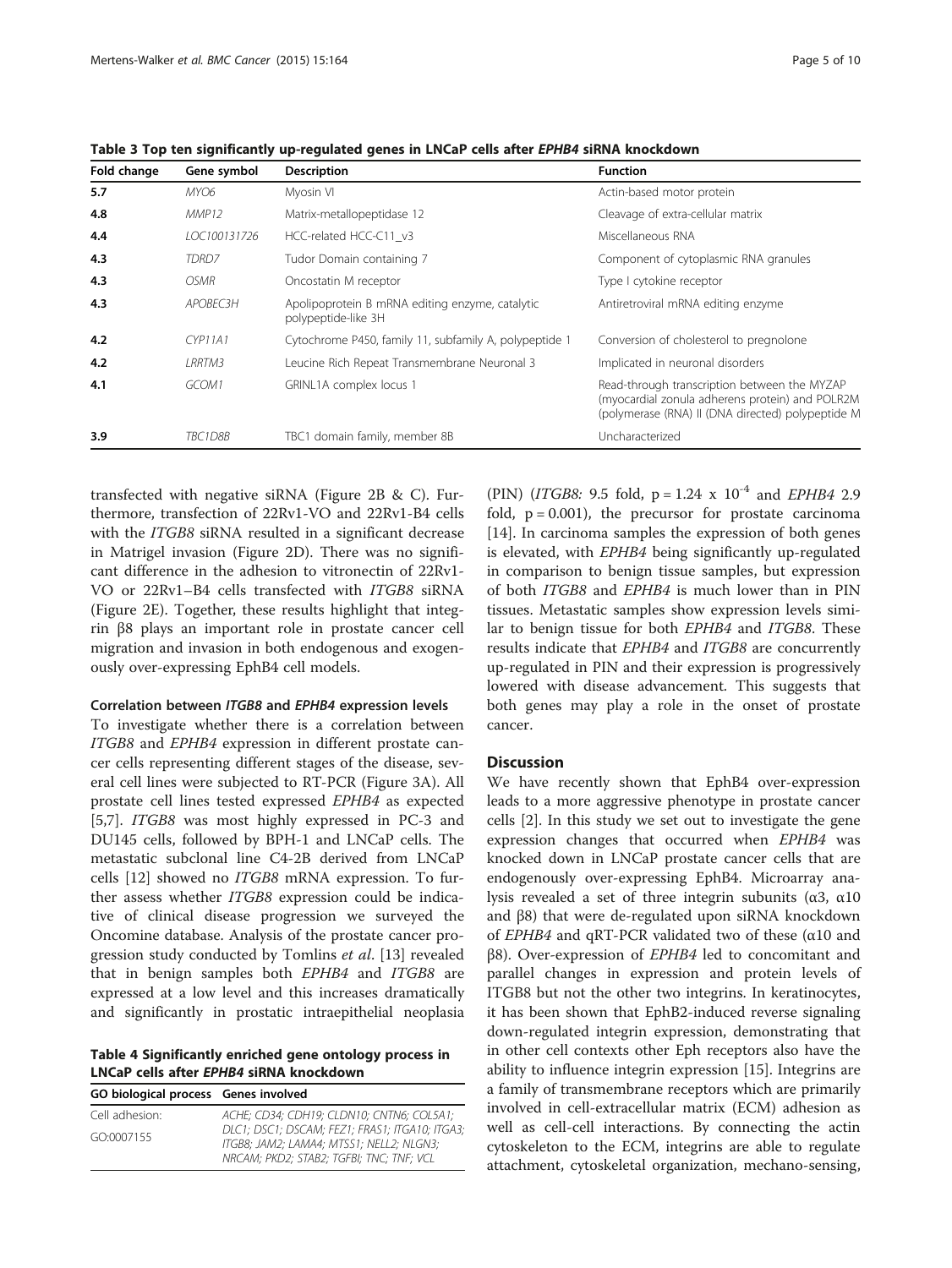| Fold change | Gene symbol        | <b>Description</b>                                                     | <b>Function</b>                                                                                                                                      |
|-------------|--------------------|------------------------------------------------------------------------|------------------------------------------------------------------------------------------------------------------------------------------------------|
| 5.7         | MYO6               | Myosin VI                                                              | Actin-based motor protein                                                                                                                            |
| 4.8         | MMP12              | Matrix-metallopeptidase 12                                             | Cleavage of extra-cellular matrix                                                                                                                    |
| 4.4         | LOC100131726       | HCC-related HCC-C11 v3                                                 | Miscellaneous RNA                                                                                                                                    |
| 4.3         | TDRD <sub>7</sub>  | Tudor Domain containing 7                                              | Component of cytoplasmic RNA granules                                                                                                                |
| 4.3         | <i><b>OSMR</b></i> | Oncostatin M receptor                                                  | Type I cytokine receptor                                                                                                                             |
| 4.3         | APOBEC3H           | Apolipoprotein B mRNA editing enzyme, catalytic<br>polypeptide-like 3H | Antiretroviral mRNA editing enzyme                                                                                                                   |
| 4.2         | CYP11A1            | Cytochrome P450, family 11, subfamily A, polypeptide 1                 | Conversion of cholesterol to pregnolone                                                                                                              |
| 4.2         | <i>LRRTM3</i>      | Leucine Rich Repeat Transmembrane Neuronal 3                           | Implicated in neuronal disorders                                                                                                                     |
| 4.1         | GCOM1              | GRINL1A complex locus 1                                                | Read-through transcription between the MYZAP<br>(myocardial zonula adherens protein) and POLR2M<br>(polymerase (RNA) II (DNA directed) polypeptide M |
| 3.9         | TBC1D8B            | TBC1 domain family, member 8B                                          | Uncharacterized                                                                                                                                      |

<span id="page-4-0"></span>Table 3 Top ten significantly up-regulated genes in LNCaP cells after EPHB4 siRNA knockdown

transfected with negative siRNA (Figure [2](#page-6-0)B & C). Furthermore, transfection of 22Rv1-VO and 22Rv1-B4 cells with the ITGB8 siRNA resulted in a significant decrease in Matrigel invasion (Figure [2D](#page-6-0)). There was no significant difference in the adhesion to vitronectin of 22Rv1- VO or 22Rv1–B4 cells transfected with ITGB8 siRNA (Figure [2](#page-6-0)E). Together, these results highlight that integrin β8 plays an important role in prostate cancer cell migration and invasion in both endogenous and exogenously over-expressing EphB4 cell models.

#### Correlation between ITGB8 and EPHB4 expression levels

To investigate whether there is a correlation between ITGB8 and EPHB4 expression in different prostate cancer cells representing different stages of the disease, several cell lines were subjected to RT-PCR (Figure [3](#page-7-0)A). All prostate cell lines tested expressed EPHB4 as expected [[5,7\]](#page-8-0). ITGB8 was most highly expressed in PC-3 and DU145 cells, followed by BPH-1 and LNCaP cells. The metastatic subclonal line C4-2B derived from LNCaP cells [\[12](#page-8-0)] showed no ITGB8 mRNA expression. To further assess whether ITGB8 expression could be indicative of clinical disease progression we surveyed the Oncomine database. Analysis of the prostate cancer pro-gression study conducted by Tomlins et al. [[13\]](#page-8-0) revealed that in benign samples both EPHB4 and ITGB8 are expressed at a low level and this increases dramatically and significantly in prostatic intraepithelial neoplasia

Table 4 Significantly enriched gene ontology process in LNCaP cells after EPHB4 siRNA knockdown

| GO biological process Genes involved |                                                                                                                                        |
|--------------------------------------|----------------------------------------------------------------------------------------------------------------------------------------|
| Cell adhesion:                       | ACHE; CD34; CDH19; CLDN10; CNTN6; COL5A1;                                                                                              |
| GO:0007155                           | DLC1; DSC1; DSCAM; FEZ1; FRAS1; ITGA10; ITGA3;<br>ITGB8: JAM2: LAMA4: MTSS1: NELL2: NLGN3:<br>NRCAM: PKD2: STAB2: TGFBI: TNC: TNF: VCL |

(PIN) (*ITGB8*: 9.5 fold,  $p = 1.24 \times 10^{-4}$  and *EPHB4* 2.9 fold,  $p = 0.001$ ), the precursor for prostate carcinoma [[14\]](#page-8-0). In carcinoma samples the expression of both genes is elevated, with EPHB4 being significantly up-regulated in comparison to benign tissue samples, but expression of both ITGB8 and EPHB4 is much lower than in PIN tissues. Metastatic samples show expression levels similar to benign tissue for both EPHB4 and ITGB8. These results indicate that EPHB4 and ITGB8 are concurrently up-regulated in PIN and their expression is progressively lowered with disease advancement. This suggests that both genes may play a role in the onset of prostate cancer.

# **Discussion**

We have recently shown that EphB4 over-expression leads to a more aggressive phenotype in prostate cancer cells [\[2\]](#page-8-0). In this study we set out to investigate the gene expression changes that occurred when EPHB4 was knocked down in LNCaP prostate cancer cells that are endogenously over-expressing EphB4. Microarray analysis revealed a set of three integrin subunits ( $\alpha$ 3,  $\alpha$ 10 and β8) that were de-regulated upon siRNA knockdown of *EPHB4* and qRT-PCR validated two of these ( $α10$  and β8). Over-expression of EPHB4 led to concomitant and parallel changes in expression and protein levels of ITGB8 but not the other two integrins. In keratinocytes, it has been shown that EphB2-induced reverse signaling down-regulated integrin expression, demonstrating that in other cell contexts other Eph receptors also have the ability to influence integrin expression [[15](#page-8-0)]. Integrins are a family of transmembrane receptors which are primarily involved in cell-extracellular matrix (ECM) adhesion as well as cell-cell interactions. By connecting the actin cytoskeleton to the ECM, integrins are able to regulate attachment, cytoskeletal organization, mechano-sensing,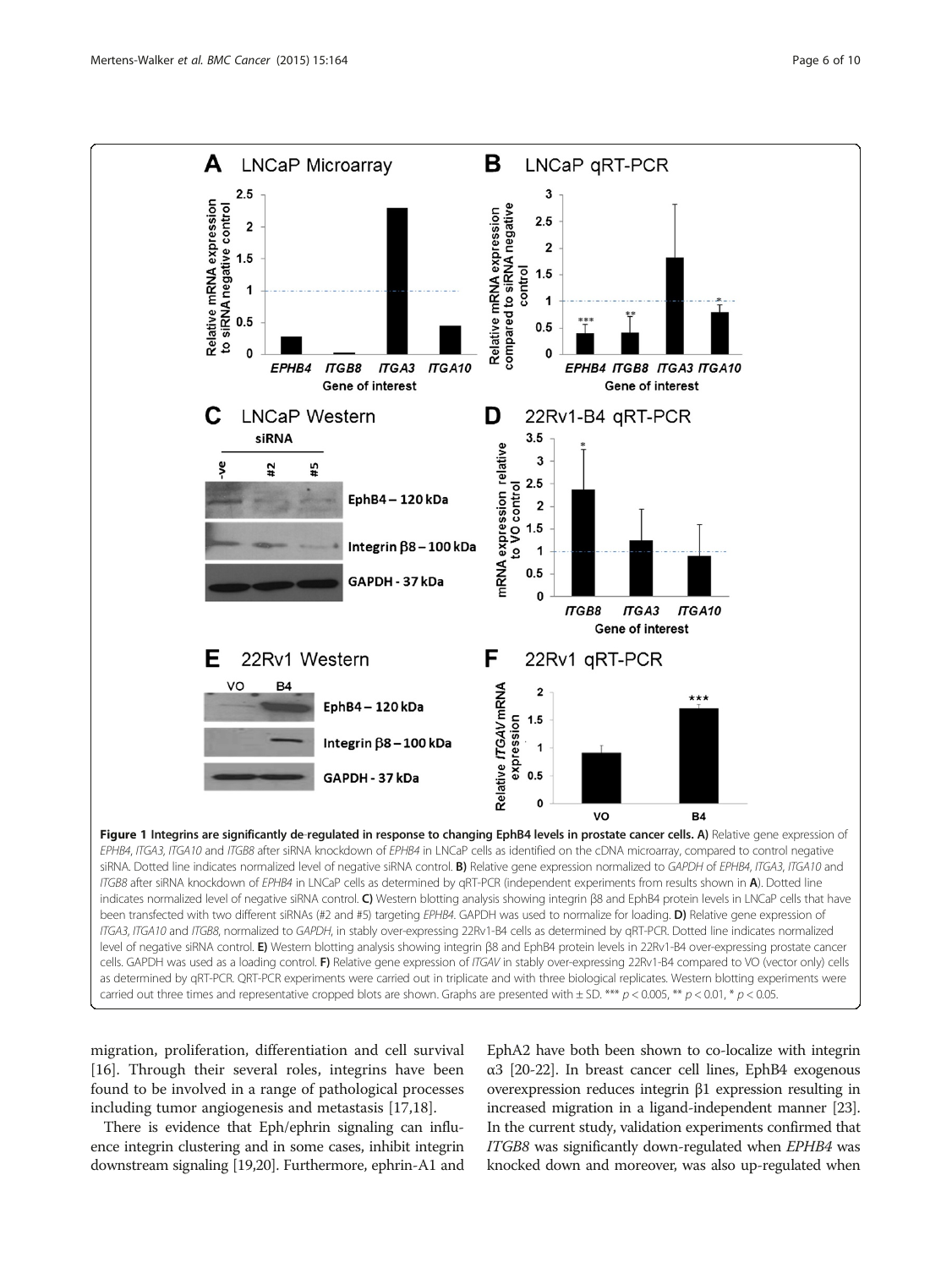<span id="page-5-0"></span>

ITGA3, ITGA10 and ITGB8, normalized to GAPDH, in stably over-expressing 22Rv1-B4 cells as determined by qRT-PCR. Dotted line indicates normalized level of negative siRNA control. E) Western blotting analysis showing integrin β8 and EphB4 protein levels in 22Rv1-B4 over-expressing prostate cancer cells. GAPDH was used as a loading control. F) Relative gene expression of ITGAV in stably over-expressing 22Rv1-B4 compared to VO (vector only) cells as determined by qRT-PCR. QRT-PCR experiments were carried out in triplicate and with three biological replicates. Western blotting experiments were carried out three times and representative cropped blots are shown. Graphs are presented with  $\pm$  SD. \*\*\*  $p$   $>$  0.005, \*\*  $p$   $<$  0.01, \*  $p$   $<$  0.05.

migration, proliferation, differentiation and cell survival [[16\]](#page-8-0). Through their several roles, integrins have been found to be involved in a range of pathological processes including tumor angiogenesis and metastasis [\[17,18](#page-8-0)].

There is evidence that Eph/ephrin signaling can influence integrin clustering and in some cases, inhibit integrin downstream signaling [[19,20\]](#page-8-0). Furthermore, ephrin-A1 and

EphA2 have both been shown to co-localize with integrin α3 [\[20-22](#page-8-0)]. In breast cancer cell lines, EphB4 exogenous overexpression reduces integrin β1 expression resulting in increased migration in a ligand-independent manner [\[23](#page-8-0)]. In the current study, validation experiments confirmed that ITGB8 was significantly down-regulated when EPHB4 was knocked down and moreover, was also up-regulated when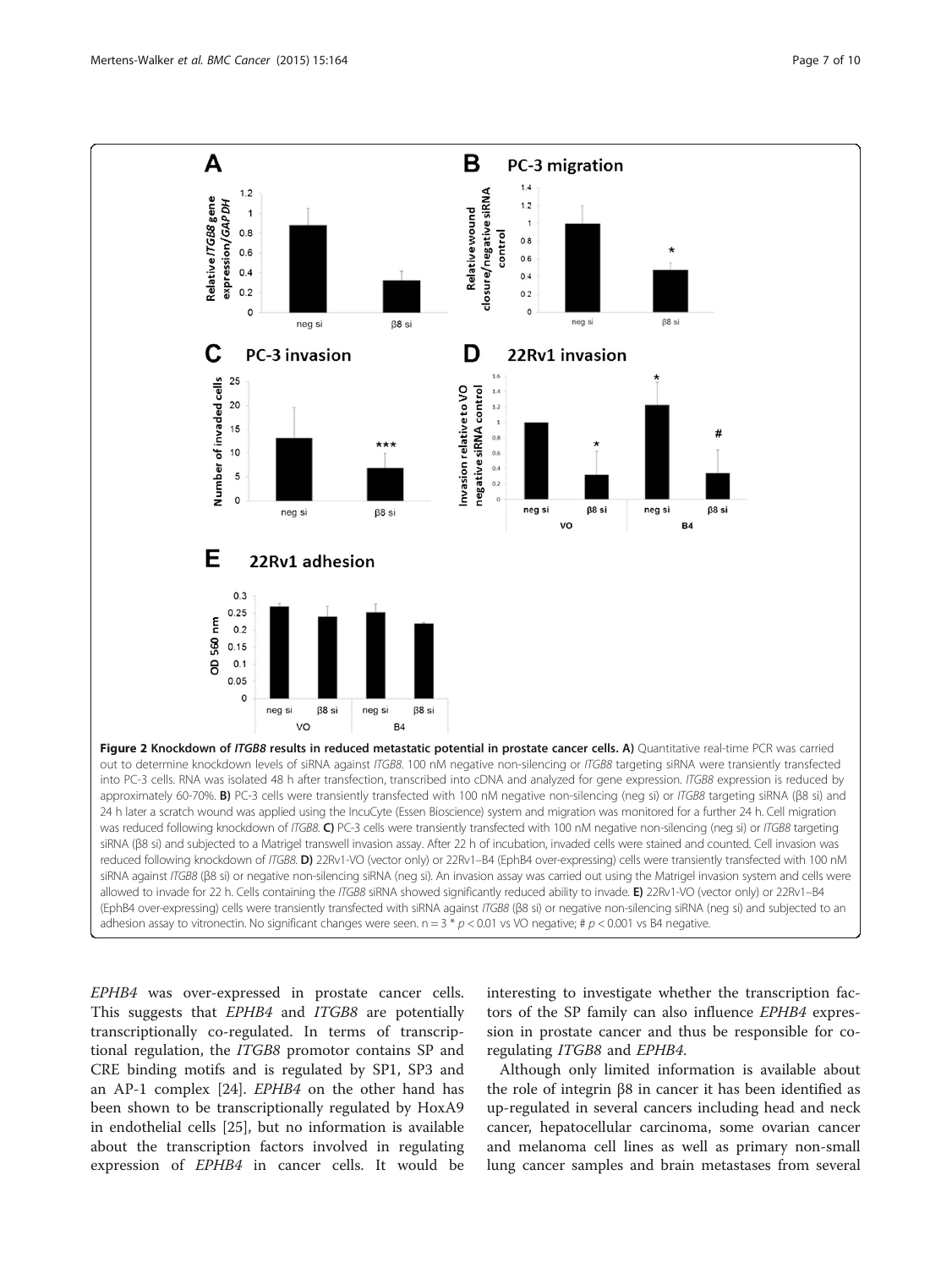<span id="page-6-0"></span>

EPHB4 was over-expressed in prostate cancer cells. This suggests that *EPHB4* and *ITGB8* are potentially transcriptionally co-regulated. In terms of transcriptional regulation, the ITGB8 promotor contains SP and CRE binding motifs and is regulated by SP1, SP3 and an AP-1 complex [\[24](#page-8-0)]. EPHB4 on the other hand has been shown to be transcriptionally regulated by HoxA9 in endothelial cells [\[25](#page-8-0)], but no information is available about the transcription factors involved in regulating expression of EPHB4 in cancer cells. It would be

interesting to investigate whether the transcription factors of the SP family can also influence EPHB4 expression in prostate cancer and thus be responsible for coregulating ITGB8 and EPHB4.

Although only limited information is available about the role of integrin β8 in cancer it has been identified as up-regulated in several cancers including head and neck cancer, hepatocellular carcinoma, some ovarian cancer and melanoma cell lines as well as primary non-small lung cancer samples and brain metastases from several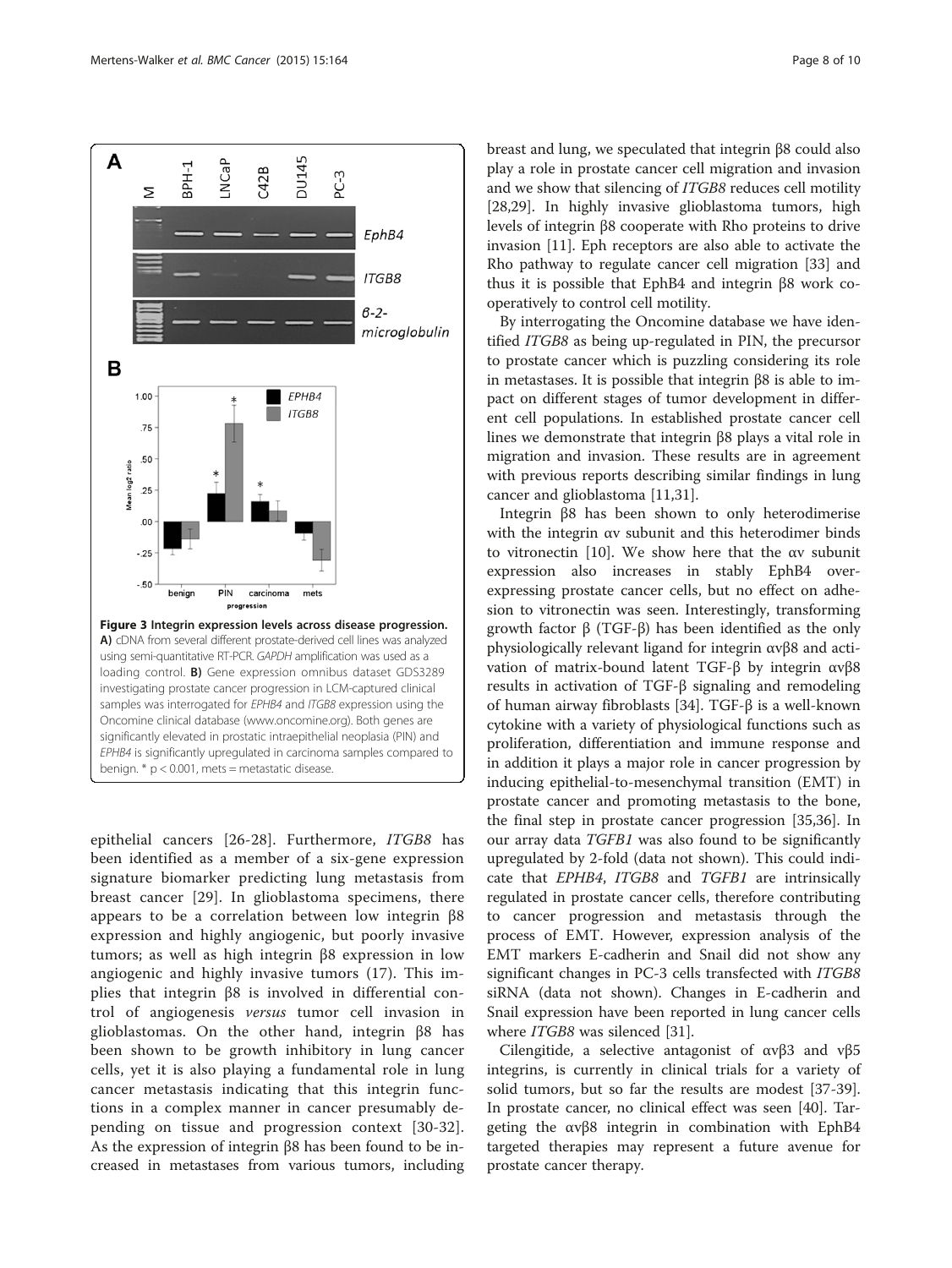

<span id="page-7-0"></span>

epithelial cancers [\[26](#page-8-0)-[28](#page-8-0)]. Furthermore, ITGB8 has been identified as a member of a six-gene expression signature biomarker predicting lung metastasis from breast cancer [[29\]](#page-8-0). In glioblastoma specimens, there appears to be a correlation between low integrin β8 expression and highly angiogenic, but poorly invasive tumors; as well as high integrin β8 expression in low angiogenic and highly invasive tumors (17). This implies that integrin β8 is involved in differential control of angiogenesis versus tumor cell invasion in glioblastomas. On the other hand, integrin β8 has been shown to be growth inhibitory in lung cancer cells, yet it is also playing a fundamental role in lung cancer metastasis indicating that this integrin functions in a complex manner in cancer presumably depending on tissue and progression context [[30](#page-8-0)-[32\]](#page-9-0). As the expression of integrin β8 has been found to be increased in metastases from various tumors, including breast and lung, we speculated that integrin β8 could also play a role in prostate cancer cell migration and invasion and we show that silencing of ITGB8 reduces cell motility [[28,29\]](#page-8-0). In highly invasive glioblastoma tumors, high levels of integrin β8 cooperate with Rho proteins to drive invasion [\[11\]](#page-8-0). Eph receptors are also able to activate the Rho pathway to regulate cancer cell migration [[33](#page-9-0)] and thus it is possible that EphB4 and integrin β8 work cooperatively to control cell motility.

By interrogating the Oncomine database we have identified ITGB8 as being up-regulated in PIN, the precursor to prostate cancer which is puzzling considering its role in metastases. It is possible that integrin β8 is able to impact on different stages of tumor development in different cell populations. In established prostate cancer cell lines we demonstrate that integrin β8 plays a vital role in migration and invasion. These results are in agreement with previous reports describing similar findings in lung cancer and glioblastoma [\[11,31\]](#page-8-0).

Integrin β8 has been shown to only heterodimerise with the integrin αv subunit and this heterodimer binds to vitronectin [[10](#page-8-0)]. We show here that the αv subunit expression also increases in stably EphB4 overexpressing prostate cancer cells, but no effect on adhesion to vitronectin was seen. Interestingly, transforming growth factor β (TGF-β) has been identified as the only physiologically relevant ligand for integrin αvβ8 and activation of matrix-bound latent TGF-β by integrin αvβ8 results in activation of TGF-β signaling and remodeling of human airway fibroblasts [\[34](#page-9-0)]. TGF-β is a well-known cytokine with a variety of physiological functions such as proliferation, differentiation and immune response and in addition it plays a major role in cancer progression by inducing epithelial-to-mesenchymal transition (EMT) in prostate cancer and promoting metastasis to the bone, the final step in prostate cancer progression [[35,36](#page-9-0)]. In our array data TGFB1 was also found to be significantly upregulated by 2-fold (data not shown). This could indicate that EPHB4, ITGB8 and TGFB1 are intrinsically regulated in prostate cancer cells, therefore contributing to cancer progression and metastasis through the process of EMT. However, expression analysis of the EMT markers E-cadherin and Snail did not show any significant changes in PC-3 cells transfected with *ITGB8* siRNA (data not shown). Changes in E-cadherin and Snail expression have been reported in lung cancer cells where ITGB8 was silenced [\[31](#page-8-0)].

Cilengitide, a selective antagonist of αvβ3 and vβ5 integrins, is currently in clinical trials for a variety of solid tumors, but so far the results are modest [\[37-39](#page-9-0)]. In prostate cancer, no clinical effect was seen [[40](#page-9-0)]. Targeting the αvβ8 integrin in combination with EphB4 targeted therapies may represent a future avenue for prostate cancer therapy.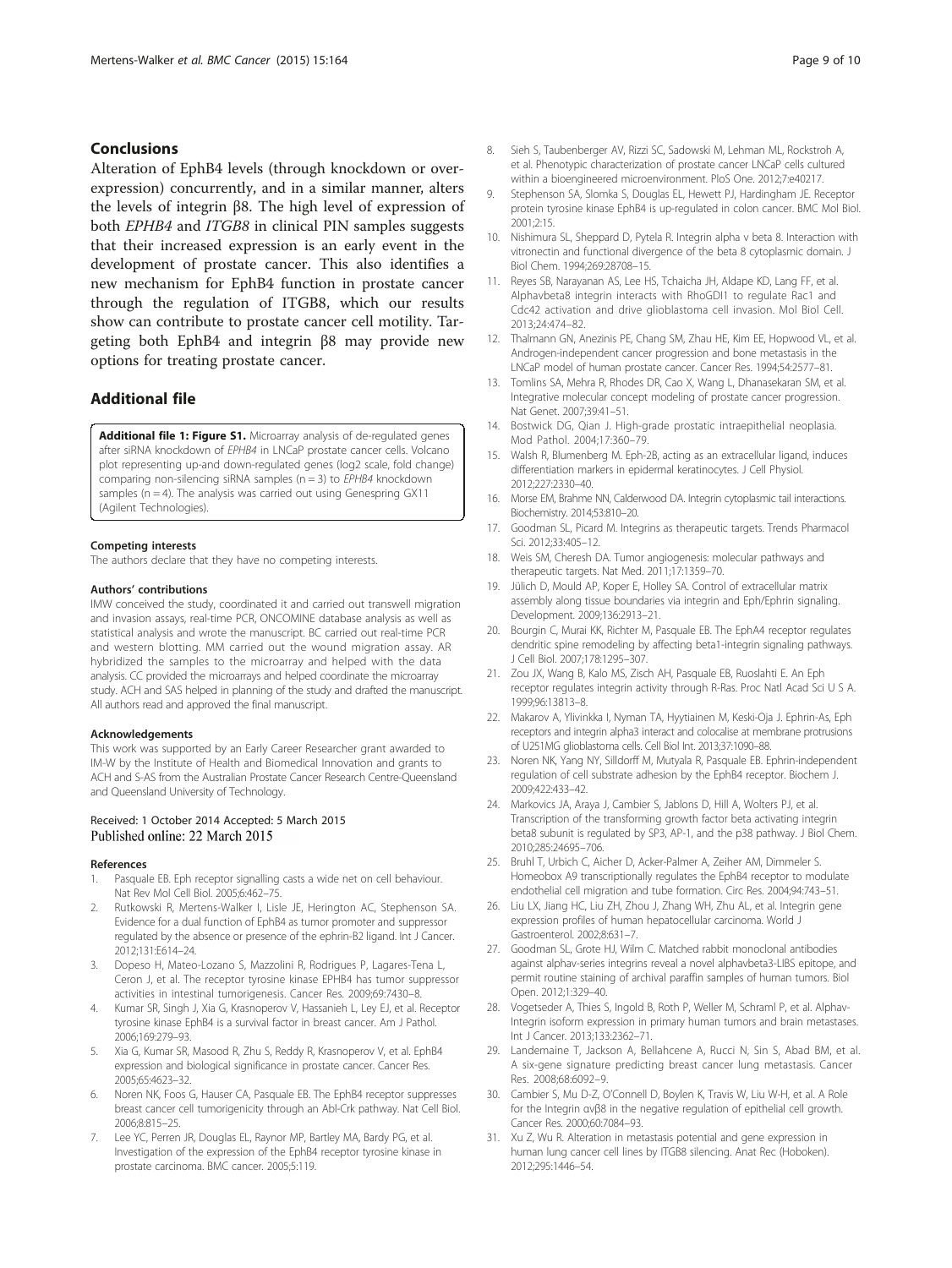# <span id="page-8-0"></span>Conclusions

Alteration of EphB4 levels (through knockdown or overexpression) concurrently, and in a similar manner, alters the levels of integrin β8. The high level of expression of both EPHB4 and ITGB8 in clinical PIN samples suggests that their increased expression is an early event in the development of prostate cancer. This also identifies a new mechanism for EphB4 function in prostate cancer through the regulation of ITGB8, which our results show can contribute to prostate cancer cell motility. Targeting both EphB4 and integrin β8 may provide new options for treating prostate cancer.

# Additional file

[Additional file 1: Figure S1.](http://www.biomedcentral.com/content/supplementary/s12885-015-1164-6-s1.tiff) Microarray analysis of de-regulated genes after siRNA knockdown of EPHB4 in LNCaP prostate cancer cells. Volcano plot representing up-and down-regulated genes (log2 scale, fold change) comparing non-silencing siRNA samples ( $n = 3$ ) to *EPHB4* knockdown samples (n = 4). The analysis was carried out using Genespring GX11 (Agilent Technologies).

#### Competing interests

The authors declare that they have no competing interests.

#### Authors' contributions

IMW conceived the study, coordinated it and carried out transwell migration and invasion assays, real-time PCR, ONCOMINE database analysis as well as statistical analysis and wrote the manuscript. BC carried out real-time PCR and western blotting. MM carried out the wound migration assay. AR hybridized the samples to the microarray and helped with the data analysis. CC provided the microarrays and helped coordinate the microarray study. ACH and SAS helped in planning of the study and drafted the manuscript. All authors read and approved the final manuscript.

#### Acknowledgements

This work was supported by an Early Career Researcher grant awarded to IM-W by the Institute of Health and Biomedical Innovation and grants to ACH and S-AS from the Australian Prostate Cancer Research Centre-Queensland and Queensland University of Technology.

#### Received: 1 October 2014 Accepted: 5 March 2015 Published online: 22 March 2015

#### References

- 1. Pasquale EB. Eph receptor signalling casts a wide net on cell behaviour. Nat Rev Mol Cell Biol. 2005;6:462–75.
- 2. Rutkowski R, Mertens-Walker I, Lisle JE, Herington AC, Stephenson SA. Evidence for a dual function of EphB4 as tumor promoter and suppressor regulated by the absence or presence of the ephrin-B2 ligand. Int J Cancer. 2012;131:E614–24.
- 3. Dopeso H, Mateo-Lozano S, Mazzolini R, Rodrigues P, Lagares-Tena L, Ceron J, et al. The receptor tyrosine kinase EPHB4 has tumor suppressor activities in intestinal tumorigenesis. Cancer Res. 2009;69:7430–8.
- 4. Kumar SR, Singh J, Xia G, Krasnoperov V, Hassanieh L, Ley EJ, et al. Receptor tyrosine kinase EphB4 is a survival factor in breast cancer. Am J Pathol. 2006;169:279–93.
- 5. Xia G, Kumar SR, Masood R, Zhu S, Reddy R, Krasnoperov V, et al. EphB4 expression and biological significance in prostate cancer. Cancer Res. 2005;65:4623–32.
- Noren NK, Foos G, Hauser CA, Pasquale EB. The EphB4 receptor suppresses breast cancer cell tumorigenicity through an Abl-Crk pathway. Nat Cell Biol. 2006;8:815–25.
- 7. Lee YC, Perren JR, Douglas EL, Raynor MP, Bartley MA, Bardy PG, et al. Investigation of the expression of the EphB4 receptor tyrosine kinase in prostate carcinoma. BMC cancer. 2005;5:119.
- 8. Sieh S, Taubenberger AV, Rizzi SC, Sadowski M, Lehman ML, Rockstroh A, et al. Phenotypic characterization of prostate cancer LNCaP cells cultured within a bioengineered microenvironment. PloS One. 2012;7:e40217.
- 9. Stephenson SA, Slomka S, Douglas EL, Hewett PJ, Hardingham JE. Receptor protein tyrosine kinase EphB4 is up-regulated in colon cancer. BMC Mol Biol. 2001;2:15.
- 10. Nishimura SL, Sheppard D, Pytela R. Integrin alpha v beta 8. Interaction with vitronectin and functional divergence of the beta 8 cytoplasmic domain. J Biol Chem. 1994;269:28708–15.
- 11. Reyes SB, Narayanan AS, Lee HS, Tchaicha JH, Aldape KD, Lang FF, et al. Alphavbeta8 integrin interacts with RhoGDI1 to regulate Rac1 and Cdc42 activation and drive glioblastoma cell invasion. Mol Biol Cell. 2013;24:474–82.
- 12. Thalmann GN, Anezinis PE, Chang SM, Zhau HE, Kim EE, Hopwood VL, et al. Androgen-independent cancer progression and bone metastasis in the LNCaP model of human prostate cancer. Cancer Res. 1994;54:2577–81.
- 13. Tomlins SA, Mehra R, Rhodes DR, Cao X, Wang L, Dhanasekaran SM, et al. Integrative molecular concept modeling of prostate cancer progression. Nat Genet. 2007;39:41–51.
- 14. Bostwick DG, Qian J. High-grade prostatic intraepithelial neoplasia. Mod Pathol. 2004;17:360–79.
- 15. Walsh R, Blumenberg M. Eph-2B, acting as an extracellular ligand, induces differentiation markers in epidermal keratinocytes. J Cell Physiol. 2012;227:2330–40.
- 16. Morse EM, Brahme NN, Calderwood DA. Integrin cytoplasmic tail interactions. Biochemistry. 2014;53:810–20.
- 17. Goodman SL, Picard M. Integrins as therapeutic targets. Trends Pharmacol Sci. 2012;33:405–12.
- 18. Weis SM, Cheresh DA. Tumor angiogenesis: molecular pathways and therapeutic targets. Nat Med. 2011;17:1359–70.
- 19. Jülich D, Mould AP, Koper E, Holley SA. Control of extracellular matrix assembly along tissue boundaries via integrin and Eph/Ephrin signaling. Development. 2009;136:2913–21.
- 20. Bourgin C, Murai KK, Richter M, Pasquale EB. The EphA4 receptor regulates dendritic spine remodeling by affecting beta1-integrin signaling pathways. J Cell Biol. 2007;178:1295–307.
- 21. Zou JX, Wang B, Kalo MS, Zisch AH, Pasquale EB, Ruoslahti E. An Eph receptor regulates integrin activity through R-Ras. Proc Natl Acad Sci U S A. 1999;96:13813–8.
- 22. Makarov A, Ylivinkka I, Nyman TA, Hyytiainen M, Keski-Oja J. Ephrin-As, Eph receptors and integrin alpha3 interact and colocalise at membrane protrusions of U251MG glioblastoma cells. Cell Biol Int. 2013;37:1090–88.
- 23. Noren NK, Yang NY, Silldorff M, Mutyala R, Pasquale EB. Ephrin-independent regulation of cell substrate adhesion by the EphB4 receptor. Biochem J. 2009;422:433–42.
- 24. Markovics JA, Araya J, Cambier S, Jablons D, Hill A, Wolters PJ, et al. Transcription of the transforming growth factor beta activating integrin beta8 subunit is regulated by SP3, AP-1, and the p38 pathway. J Biol Chem. 2010;285:24695–706.
- 25. Bruhl T, Urbich C, Aicher D, Acker-Palmer A, Zeiher AM, Dimmeler S. Homeobox A9 transcriptionally regulates the EphB4 receptor to modulate endothelial cell migration and tube formation. Circ Res. 2004;94:743–51.
- 26. Liu LX, Jiang HC, Liu ZH, Zhou J, Zhang WH, Zhu AL, et al. Integrin gene expression profiles of human hepatocellular carcinoma. World J Gastroenterol. 2002;8:631–7.
- 27. Goodman SL, Grote HJ, Wilm C. Matched rabbit monoclonal antibodies against alphav-series integrins reveal a novel alphavbeta3-LIBS epitope, and permit routine staining of archival paraffin samples of human tumors. Biol Open. 2012;1:329–40.
- 28. Vogetseder A, Thies S, Ingold B, Roth P, Weller M, Schraml P, et al. Alphav-Integrin isoform expression in primary human tumors and brain metastases. Int J Cancer. 2013;133:2362–71.
- 29. Landemaine T, Jackson A, Bellahcene A, Rucci N, Sin S, Abad BM, et al. A six-gene signature predicting breast cancer lung metastasis. Cancer Res. 2008;68:6092–9.
- 30. Cambier S, Mu D-Z, O'Connell D, Boylen K, Travis W, Liu W-H, et al. A Role for the Integrin αvβ8 in the negative regulation of epithelial cell growth. Cancer Res. 2000;60:7084–93.
- 31. Xu Z, Wu R. Alteration in metastasis potential and gene expression in human lung cancer cell lines by ITGB8 silencing. Anat Rec (Hoboken). 2012;295:1446–54.